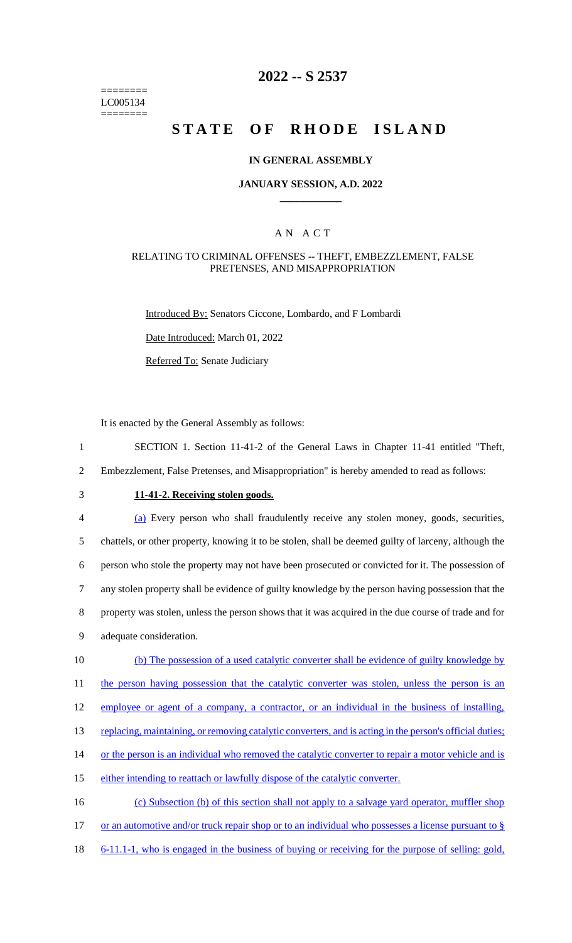======== LC005134 ========

# **2022 -- S 2537**

# **STATE OF RHODE ISLAND**

### **IN GENERAL ASSEMBLY**

### **JANUARY SESSION, A.D. 2022 \_\_\_\_\_\_\_\_\_\_\_\_**

### A N A C T

#### RELATING TO CRIMINAL OFFENSES -- THEFT, EMBEZZLEMENT, FALSE PRETENSES, AND MISAPPROPRIATION

Introduced By: Senators Ciccone, Lombardo, and F Lombardi

Date Introduced: March 01, 2022

Referred To: Senate Judiciary

It is enacted by the General Assembly as follows:

- 1 SECTION 1. Section 11-41-2 of the General Laws in Chapter 11-41 entitled "Theft,
- 2 Embezzlement, False Pretenses, and Misappropriation" is hereby amended to read as follows:
- 

# 3 **11-41-2. Receiving stolen goods.**

| 4  | (a) Every person who shall fraudulently receive any stolen money, goods, securities,                  |
|----|-------------------------------------------------------------------------------------------------------|
| 5  | chattels, or other property, knowing it to be stolen, shall be deemed guilty of larceny, although the |
| 6  | person who stole the property may not have been prosecuted or convicted for it. The possession of     |
| 7  | any stolen property shall be evidence of guilty knowledge by the person having possession that the    |
| 8  | property was stolen, unless the person shows that it was acquired in the due course of trade and for  |
| 9  | adequate consideration.                                                                               |
| 10 | (b) The possession of a used catalytic converter shall be evidence of guilty knowledge by             |
| 11 | the person having possession that the catalytic converter was stolen, unless the person is an         |

12 employee or agent of a company, a contractor, or an individual in the business of installing,

13 replacing, maintaining, or removing catalytic converters, and is acting in the person's official duties;

14 or the person is an individual who removed the catalytic converter to repair a motor vehicle and is

15 either intending to reattach or lawfully dispose of the catalytic converter.

16 (c) Subsection (b) of this section shall not apply to a salvage yard operator, muffler shop 17 or an automotive and/or truck repair shop or to an individual who possesses a license pursuant to  $\S$ 

18 6-11.1-1, who is engaged in the business of buying or receiving for the purpose of selling: gold,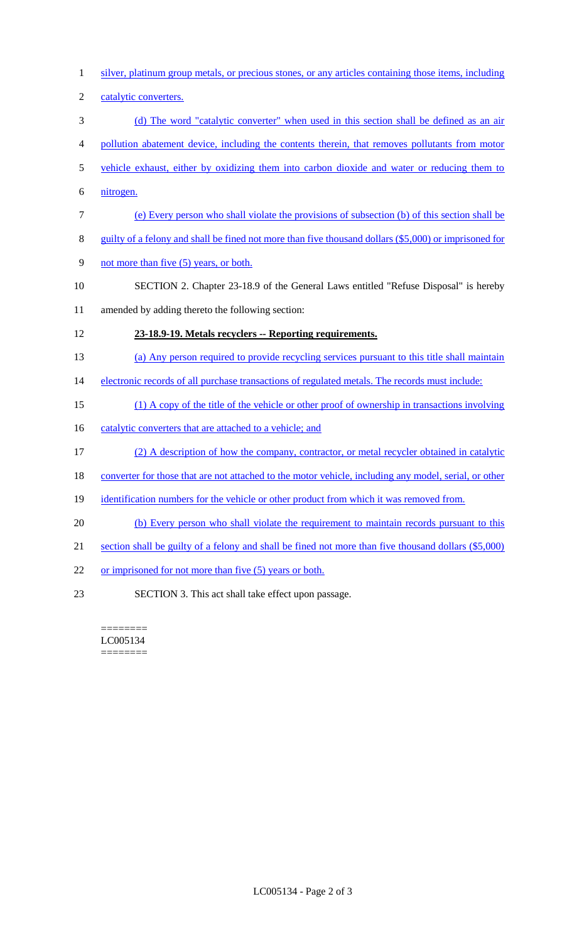- 1 silver, platinum group metals, or precious stones, or any articles containing those items, including 2 catalytic converters. 3 (d) The word "catalytic converter" when used in this section shall be defined as an air 4 pollution abatement device, including the contents therein, that removes pollutants from motor 5 vehicle exhaust, either by oxidizing them into carbon dioxide and water or reducing them to 6 nitrogen. 7 (e) Every person who shall violate the provisions of subsection (b) of this section shall be 8 guilty of a felony and shall be fined not more than five thousand dollars (\$5,000) or imprisoned for 9 not more than five (5) years, or both. 10 SECTION 2. Chapter 23-18.9 of the General Laws entitled "Refuse Disposal" is hereby 11 amended by adding thereto the following section: 12 **23-18.9-19. Metals recyclers -- Reporting requirements.**  13 (a) Any person required to provide recycling services pursuant to this title shall maintain 14 electronic records of all purchase transactions of regulated metals. The records must include: 15 (1) A copy of the title of the vehicle or other proof of ownership in transactions involving 16 catalytic converters that are attached to a vehicle; and 17 (2) A description of how the company, contractor, or metal recycler obtained in catalytic 18 converter for those that are not attached to the motor vehicle, including any model, serial, or other 19 identification numbers for the vehicle or other product from which it was removed from. 20 (b) Every person who shall violate the requirement to maintain records pursuant to this 21 section shall be guilty of a felony and shall be fined not more than five thousand dollars (\$5,000) 22 or imprisoned for not more than five (5) years or both. 23 SECTION 3. This act shall take effect upon passage.
	- ======== LC005134 ========